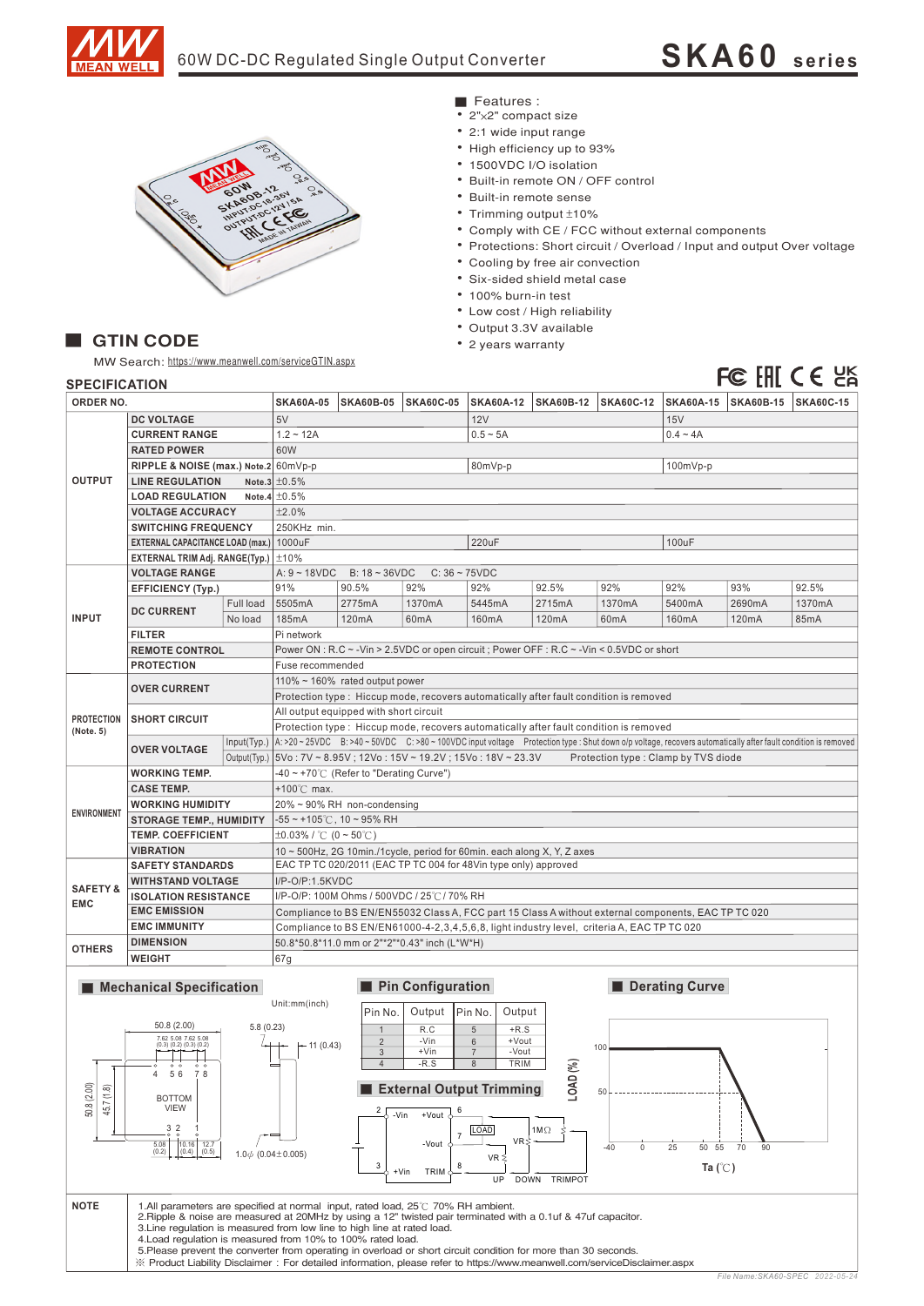

# 60W DC-DC Regulated Single Output Converter **SKA60 <sup>s</sup> <sup>e</sup> ries**



## Features :

- 2"×2" compact size
- 2:1 wide input range
- High efficiency up to 93%
- 1500VDC I/O isolation
- Built-in remote ON / OFF control
- Built-in remote sense
- Trimming output ±10%
- Comply with CE / FCC without external components
- Protections: Short circuit / Overload / Input and output Over voltage
- Cooling by free air convection
- Six-sided shield metal case
- 100% burn-in test
- Low cost / High reliability
- Output 3.3V available
- 2 years warranty

## ■ GTIN CODE

MW Search: https://www.meanwell.com/serviceGTIN.aspx

# FC EHI CE UK

| <b>SPECIFICATION</b> |  |  |
|----------------------|--|--|
|                      |  |  |

| <b>SPECIFICATION</b>                     |                                                                                                    |                                                        |                                                                                                                                                                                                                                                                                           |                                                                                        |                   |                                                                 |            |                  |                |                       | FG III C C CA    |  |
|------------------------------------------|----------------------------------------------------------------------------------------------------|--------------------------------------------------------|-------------------------------------------------------------------------------------------------------------------------------------------------------------------------------------------------------------------------------------------------------------------------------------------|----------------------------------------------------------------------------------------|-------------------|-----------------------------------------------------------------|------------|------------------|----------------|-----------------------|------------------|--|
|                                          | ORDER NO.                                                                                          |                                                        | <b>SKA60A-05</b>                                                                                                                                                                                                                                                                          | <b>SKA60B-05</b>                                                                       | <b>SKA60C-05</b>  | SKA60A-12   SKA60B-12                                           |            | <b>SKA60C-12</b> |                | SKA60A-15   SKA60B-15 | <b>SKA60C-15</b> |  |
| <b>DC VOLTAGE</b>                        |                                                                                                    | 5V                                                     |                                                                                                                                                                                                                                                                                           |                                                                                        | <b>12V</b>        |                                                                 |            | 15V              |                |                       |                  |  |
|                                          | <b>CURRENT RANGE</b>                                                                               |                                                        | $1.2 - 12A$                                                                                                                                                                                                                                                                               |                                                                                        | $0.5 - 5A$        |                                                                 |            | $0.4 - 4A$       |                |                       |                  |  |
|                                          | <b>RATED POWER</b>                                                                                 |                                                        | 60W                                                                                                                                                                                                                                                                                       |                                                                                        |                   |                                                                 |            |                  |                |                       |                  |  |
|                                          | RIPPLE & NOISE (max.) Note.2 60mVp-p                                                               |                                                        |                                                                                                                                                                                                                                                                                           |                                                                                        |                   | 80mVp-p                                                         |            |                  | 100mVp-p       |                       |                  |  |
| <b>OUTPUT</b>                            | <b>LINE REGULATION</b>                                                                             |                                                        |                                                                                                                                                                                                                                                                                           | Note.3 $\pm 0.5\%$                                                                     |                   |                                                                 |            |                  |                |                       |                  |  |
|                                          | <b>LOAD REGULATION</b>                                                                             |                                                        | Note.4 $\pm 0.5\%$                                                                                                                                                                                                                                                                        |                                                                                        |                   |                                                                 |            |                  |                |                       |                  |  |
|                                          | <b>VOLTAGE ACCURACY</b>                                                                            |                                                        | ±2.0%                                                                                                                                                                                                                                                                                     |                                                                                        |                   |                                                                 |            |                  |                |                       |                  |  |
|                                          | <b>SWITCHING FREQUENCY</b>                                                                         |                                                        | 250KHz min.                                                                                                                                                                                                                                                                               |                                                                                        |                   |                                                                 |            |                  |                |                       |                  |  |
| EXTERNAL CAPACITANCE LOAD (max.) 1000uF  |                                                                                                    | 220uF                                                  |                                                                                                                                                                                                                                                                                           |                                                                                        |                   |                                                                 | 100uF      |                  |                |                       |                  |  |
| EXTERNAL TRIM Adj. RANGE(Typ.) $\pm$ 10% |                                                                                                    |                                                        |                                                                                                                                                                                                                                                                                           |                                                                                        |                   |                                                                 |            |                  |                |                       |                  |  |
| <b>VOLTAGE RANGE</b>                     |                                                                                                    | A: $9 - 18$ VDC<br>$B: 18 - 36 VDC$<br>$C: 36 - 75VDC$ |                                                                                                                                                                                                                                                                                           |                                                                                        |                   |                                                                 |            |                  |                |                       |                  |  |
|                                          | <b>EFFICIENCY (Typ.)</b>                                                                           |                                                        | 91%                                                                                                                                                                                                                                                                                       | 90.5%                                                                                  | 92%               | 92%                                                             | 92.5%      | 92%              | 92%            | 93%                   | 92.5%            |  |
|                                          |                                                                                                    | Full load                                              | 5505mA                                                                                                                                                                                                                                                                                    | 2775mA                                                                                 | 1370mA            | 5445mA                                                          | 2715mA     | 1370mA           | 5400mA         | 2690mA                | 1370mA           |  |
| <b>INPUT</b>                             | <b>DC CURRENT</b>                                                                                  | No load                                                | 185mA                                                                                                                                                                                                                                                                                     | 120mA                                                                                  | 60mA              | 160mA                                                           | 120mA      | 60mA             | 160mA          | 120mA                 | 85mA             |  |
|                                          | <b>FILTER</b>                                                                                      |                                                        | Pi network                                                                                                                                                                                                                                                                                |                                                                                        |                   |                                                                 |            |                  |                |                       |                  |  |
|                                          | <b>REMOTE CONTROL</b>                                                                              |                                                        | Power ON: R.C ~ - Vin > 2.5 VDC or open circuit; Power OFF: R.C ~ - Vin < 0.5 VDC or short                                                                                                                                                                                                |                                                                                        |                   |                                                                 |            |                  |                |                       |                  |  |
|                                          | <b>PROTECTION</b>                                                                                  |                                                        | Fuse recommended                                                                                                                                                                                                                                                                          |                                                                                        |                   |                                                                 |            |                  |                |                       |                  |  |
|                                          |                                                                                                    |                                                        | 110% ~ 160% rated output power                                                                                                                                                                                                                                                            |                                                                                        |                   |                                                                 |            |                  |                |                       |                  |  |
|                                          |                                                                                                    | <b>OVER CURRENT</b>                                    |                                                                                                                                                                                                                                                                                           | Protection type : Hiccup mode, recovers automatically after fault condition is removed |                   |                                                                 |            |                  |                |                       |                  |  |
|                                          |                                                                                                    |                                                        | All output equipped with short circuit                                                                                                                                                                                                                                                    |                                                                                        |                   |                                                                 |            |                  |                |                       |                  |  |
| <b>PROTECTION</b>                        |                                                                                                    | <b>SHORT CIRCUIT</b>                                   |                                                                                                                                                                                                                                                                                           | Protection type: Hiccup mode, recovers automatically after fault condition is removed  |                   |                                                                 |            |                  |                |                       |                  |  |
| (Note. 5)                                |                                                                                                    |                                                        |                                                                                                                                                                                                                                                                                           |                                                                                        |                   |                                                                 |            |                  |                |                       |                  |  |
|                                          | <b>OVER VOLTAGE</b>                                                                                |                                                        | Input(Typ.)   A: >20 ~ 25VDC B: >40 ~ 50VDC C: >80 ~ 100VDC input voltage Protection type : Shut down o/p voltage, recovers automatically after fault condition is removed<br>Output(Typ.)   5Vo: 7V ~ 8.95V; 12Vo: 15V ~ 19.2V; 15Vo: 18V ~ 23.3V<br>Protection type: Clamp by TVS diode |                                                                                        |                   |                                                                 |            |                  |                |                       |                  |  |
|                                          | <b>WORKING TEMP.</b>                                                                               |                                                        | $-40 \sim +70^{\circ}$ (Refer to "Derating Curve")                                                                                                                                                                                                                                        |                                                                                        |                   |                                                                 |            |                  |                |                       |                  |  |
|                                          | <b>CASE TEMP.</b>                                                                                  |                                                        | +100 $\degree$ C max.                                                                                                                                                                                                                                                                     |                                                                                        |                   |                                                                 |            |                  |                |                       |                  |  |
| <b>ENVIRONMENT</b>                       | <b>WORKING HUMIDITY</b>                                                                            |                                                        | $20\% \sim 90\%$ RH non-condensing                                                                                                                                                                                                                                                        |                                                                                        |                   |                                                                 |            |                  |                |                       |                  |  |
|                                          | <b>STORAGE TEMP., HUMIDITY</b>                                                                     |                                                        | $-55$ ~ +105°C, 10 ~ 95% RH                                                                                                                                                                                                                                                               |                                                                                        |                   |                                                                 |            |                  |                |                       |                  |  |
|                                          | <b>TEMP. COEFFICIENT</b>                                                                           |                                                        | $\pm 0.03\%$ / °C (0 ~ 50°C)                                                                                                                                                                                                                                                              |                                                                                        |                   |                                                                 |            |                  |                |                       |                  |  |
| <b>VIBRATION</b>                         |                                                                                                    |                                                        | 10 ~ 500Hz, 2G 10min./1cycle, period for 60min. each along X, Y, Z axes                                                                                                                                                                                                                   |                                                                                        |                   |                                                                 |            |                  |                |                       |                  |  |
|                                          | <b>SAFETY STANDARDS</b>                                                                            |                                                        |                                                                                                                                                                                                                                                                                           |                                                                                        |                   | EAC TP TC 020/2011 (EAC TP TC 004 for 48Vin type only) approved |            |                  |                |                       |                  |  |
|                                          | <b>WITHSTAND VOLTAGE</b>                                                                           |                                                        | I/P-O/P:1.5KVDC                                                                                                                                                                                                                                                                           |                                                                                        |                   |                                                                 |            |                  |                |                       |                  |  |
| <b>SAFETY &amp;</b>                      | <b>ISOLATION RESISTANCE</b>                                                                        |                                                        | I/P-O/P: 100M Ohms / 500VDC / 25℃/70% RH                                                                                                                                                                                                                                                  |                                                                                        |                   |                                                                 |            |                  |                |                       |                  |  |
| <b>EMC</b>                               | <b>EMC EMISSION</b>                                                                                |                                                        | Compliance to BS EN/EN55032 Class A, FCC part 15 Class A without external components, EAC TP TC 020                                                                                                                                                                                       |                                                                                        |                   |                                                                 |            |                  |                |                       |                  |  |
|                                          | <b>EMC IMMUNITY</b>                                                                                |                                                        | Compliance to BS EN/EN61000-4-2,3,4,5,6,8, light industry level, criteria A, EAC TP TC 020                                                                                                                                                                                                |                                                                                        |                   |                                                                 |            |                  |                |                       |                  |  |
| <b>OTHERS</b>                            | <b>DIMENSION</b>                                                                                   |                                                        | 50.8*50.8*11.0 mm or 2"*2"*0.43" inch (L*W*H)                                                                                                                                                                                                                                             |                                                                                        |                   |                                                                 |            |                  |                |                       |                  |  |
|                                          | <b>WEIGHT</b>                                                                                      |                                                        | 67g                                                                                                                                                                                                                                                                                       |                                                                                        |                   |                                                                 |            |                  |                |                       |                  |  |
|                                          |                                                                                                    |                                                        |                                                                                                                                                                                                                                                                                           |                                                                                        |                   |                                                                 |            |                  |                |                       |                  |  |
|                                          | <b>Mechanical Specification</b>                                                                    |                                                        |                                                                                                                                                                                                                                                                                           |                                                                                        | Pin Configuration |                                                                 |            |                  | Derating Curve |                       |                  |  |
|                                          |                                                                                                    |                                                        | Unit:mm(inch)                                                                                                                                                                                                                                                                             | Pin No.                                                                                | Output            | Pin No.<br>Output                                               |            |                  |                |                       |                  |  |
|                                          | 50.8 (2.00)                                                                                        | 5.8(0.23)                                              |                                                                                                                                                                                                                                                                                           |                                                                                        |                   |                                                                 |            |                  |                |                       |                  |  |
|                                          | 7.62 5.08 7.62 5.08                                                                                |                                                        |                                                                                                                                                                                                                                                                                           | 1<br>$\overline{2}$                                                                    | R.C<br>-Vin       | $\overline{5}$<br>$+R.S$<br>$6\phantom{.0}$<br>+Vout            |            |                  |                |                       |                  |  |
|                                          | $(0.3)$ $(0.2)$ $(0.3)$ $(0.2)$                                                                    |                                                        | $-11(0.43)$                                                                                                                                                                                                                                                                               | 3                                                                                      | +Vin              | $\overline{7}$<br>-Vout                                         |            | 100              |                |                       |                  |  |
| $\overline{T}$                           |                                                                                                    |                                                        |                                                                                                                                                                                                                                                                                           | $\overline{4}$                                                                         | $-R.S$            | TRIM<br>8                                                       | S          |                  |                |                       |                  |  |
| 50.8 (2.00)<br>45.7(1.8)                 | 4<br>56<br>8                                                                                       |                                                        |                                                                                                                                                                                                                                                                                           |                                                                                        |                   | External Output Trimming                                        | LOAD       |                  |                |                       |                  |  |
|                                          | <b>BOTTOM</b>                                                                                      |                                                        |                                                                                                                                                                                                                                                                                           |                                                                                        |                   |                                                                 |            | 50               |                |                       |                  |  |
|                                          | VIEW                                                                                               |                                                        |                                                                                                                                                                                                                                                                                           | $2\sqrt{ }$<br>-Vin                                                                    | 6<br>+Vout        |                                                                 |            |                  |                |                       |                  |  |
|                                          | 3<br>$\frac{2}{9}$<br>5.08<br>10.16<br>12.7<br>(0.4)<br>(0.2)<br>(0.5)<br>$1.0\phi$ (0.04 ± 0.005) |                                                        |                                                                                                                                                                                                                                                                                           |                                                                                        | $\overline{7}$    | <b>LOAD</b>                                                     | $1M\Omega$ |                  |                |                       |                  |  |
|                                          |                                                                                                    |                                                        | VR:<br>-Vout<br>$-40$<br>25<br>50 55<br>70<br>0<br>90                                                                                                                                                                                                                                     |                                                                                        |                   |                                                                 |            |                  |                |                       |                  |  |
|                                          |                                                                                                    |                                                        | VR ≨<br>3<br>8                                                                                                                                                                                                                                                                            |                                                                                        |                   |                                                                 |            |                  |                |                       |                  |  |
|                                          |                                                                                                    |                                                        | Ta $(C)$<br>TRIM<br>+Vin<br>UP<br>DOWN TRIMPOT                                                                                                                                                                                                                                            |                                                                                        |                   |                                                                 |            |                  |                |                       |                  |  |
|                                          |                                                                                                    |                                                        |                                                                                                                                                                                                                                                                                           |                                                                                        |                   |                                                                 |            |                  |                |                       |                  |  |
| <b>NOTE</b>                              | 1.All parameters are specified at normal input, rated load, 25°C 70% RH ambient.                   |                                                        |                                                                                                                                                                                                                                                                                           |                                                                                        |                   |                                                                 |            |                  |                |                       |                  |  |
|                                          |                                                                                                    |                                                        | 2. Ripple & noise are measured at 20MHz by using a 12" twisted pair terminated with a 0.1uf & 47uf capacitor.<br>3. Line regulation is measured from low line to high line at rated load.                                                                                                 |                                                                                        |                   |                                                                 |            |                  |                |                       |                  |  |
|                                          |                                                                                                    |                                                        | 4. Load regulation is measured from 10% to 100% rated load.                                                                                                                                                                                                                               |                                                                                        |                   |                                                                 |            |                  |                |                       |                  |  |
|                                          |                                                                                                    |                                                        | 5. Please prevent the converter from operating in overload or short circuit condition for more than 30 seconds.                                                                                                                                                                           |                                                                                        |                   |                                                                 |            |                  |                |                       |                  |  |
|                                          |                                                                                                    |                                                        | ※ Product Liability Disclaimer: For detailed information, please refer to https://www.meanwell.com/serviceDisclaimer.aspx                                                                                                                                                                 |                                                                                        |                   |                                                                 |            |                  |                |                       |                  |  |